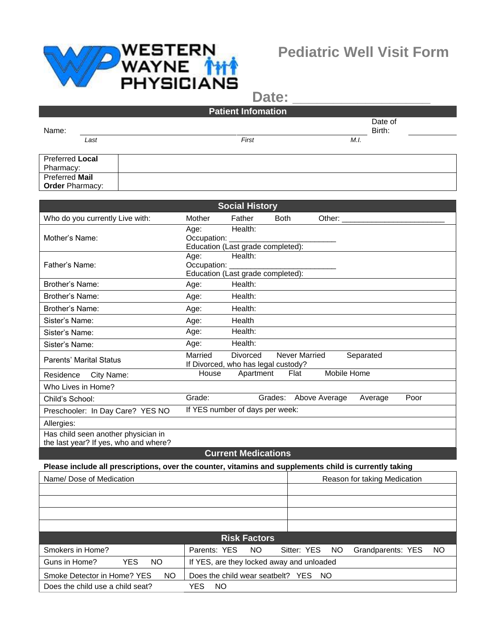

Has child seen another physician in the last year? If yes, who and where? Date:

## **Patient Infomation** Name: Date of Birth: *Last First M.I.* Preferred **Local**

Pharmacy: Preferred **Mail Order** Pharmacy: **Social History** Who do you currently Live with: Mother Father Both Other: Mother's Name: Age: Health: Occupation: Education (Last grade completed): Age: Health:

|                                  | Age:                            | Health:                                     |  |  |  |
|----------------------------------|---------------------------------|---------------------------------------------|--|--|--|
| Father's Name:                   | Occupation:                     |                                             |  |  |  |
|                                  |                                 | Education (Last grade completed):           |  |  |  |
| Brother's Name:                  | Age:                            | Health:                                     |  |  |  |
| Brother's Name:                  | Age:                            | Health:                                     |  |  |  |
| Brother's Name:                  | Age:                            | Health:                                     |  |  |  |
| Sister's Name:                   | Age:                            | Health                                      |  |  |  |
| Sister's Name:                   | Age:                            | Health:                                     |  |  |  |
| Sister's Name:                   | Age:                            | Health:                                     |  |  |  |
| <b>Parents' Marital Status</b>   | Married                         | Never Married<br>Separated<br>Divorced      |  |  |  |
|                                  |                                 | If Divorced, who has legal custody?         |  |  |  |
| City Name:<br>Residence          | House                           | Mobile Home<br>Apartment<br>Flat            |  |  |  |
| Who Lives in Home?               |                                 |                                             |  |  |  |
| Child's School:                  | Grade:                          | Poor<br>Grades:<br>Above Average<br>Average |  |  |  |
| Preschooler: In Day Care? YES NO | If YES number of days per week: |                                             |  |  |  |
| Allergies:                       |                                 |                                             |  |  |  |

## **Current Medications**

**Please include all prescriptions, over the counter, vitamins and supplements child is currently taking**

| Name/Dose of Medication            | Reason for taking Medication              |                                                |  |  |  |  |  |  |
|------------------------------------|-------------------------------------------|------------------------------------------------|--|--|--|--|--|--|
|                                    |                                           |                                                |  |  |  |  |  |  |
|                                    |                                           |                                                |  |  |  |  |  |  |
|                                    |                                           |                                                |  |  |  |  |  |  |
|                                    |                                           |                                                |  |  |  |  |  |  |
| <b>Risk Factors</b>                |                                           |                                                |  |  |  |  |  |  |
| Smokers in Home?                   | Parents: YES<br>NO.                       | Sitter: YES<br>Grandparents: YES<br>NO.<br>NO. |  |  |  |  |  |  |
| Guns in Home?<br><b>YES</b><br>NO. | If YES, are they locked away and unloaded |                                                |  |  |  |  |  |  |
| NO.<br>Smoke Detector in Home? YES | Does the child wear seatbelt? YES NO      |                                                |  |  |  |  |  |  |
| Does the child use a child seat?   | NO.<br>YES                                |                                                |  |  |  |  |  |  |